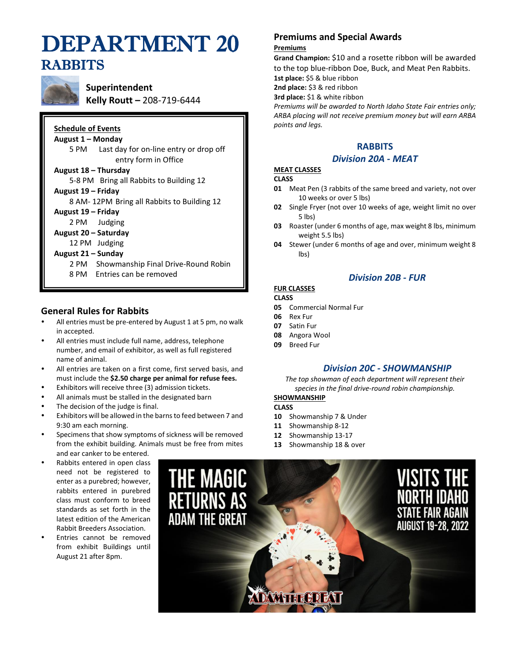# DEPARTMENT 20 RABBITS



**Superintendent Kelly Routt –** 208-719-6444

|                                            | <b>Schedule of Events</b>                        |  |  |  |  |  |
|--------------------------------------------|--------------------------------------------------|--|--|--|--|--|
|                                            | August 1 – Monday                                |  |  |  |  |  |
|                                            | Last day for on-line entry or drop off<br>5 PM - |  |  |  |  |  |
|                                            | entry form in Office                             |  |  |  |  |  |
|                                            | August 18 – Thursday                             |  |  |  |  |  |
|                                            | 5-8 PM Bring all Rabbits to Building 12          |  |  |  |  |  |
| August 19 - Friday                         |                                                  |  |  |  |  |  |
| 8 AM-12PM Bring all Rabbits to Building 12 |                                                  |  |  |  |  |  |
| August 19 - Friday                         |                                                  |  |  |  |  |  |
|                                            | 2 PM Judging                                     |  |  |  |  |  |
|                                            | August 20 – Saturday                             |  |  |  |  |  |
| 12 PM Judging                              |                                                  |  |  |  |  |  |
|                                            | August 21 – Sunday                               |  |  |  |  |  |
|                                            | 2 PM Showmanship Final Drive-Round Robin         |  |  |  |  |  |
|                                            | 8 PM Entries can be removed                      |  |  |  |  |  |
|                                            |                                                  |  |  |  |  |  |

# **General Rules for Rabbits**

- All entries must be pre-entered by August 1 at 5 pm, no walk in accepted.
- All entries must include full name, address, telephone number, and email of exhibitor, as well as full registered name of animal.
- All entries are taken on a first come, first served basis, and must include the **\$2.50 charge per animal for refuse fees.**
- Exhibitors will receive three (3) admission tickets.
- All animals must be stalled in the designated barn
- The decision of the judge is final.
- Exhibitors will be allowed in the barns to feed between 7 and 9:30 am each morning.
- Specimens that show symptoms of sickness will be removed from the exhibit building. Animals must be free from mites and ear canker to be entered.
- Rabbits entered in open class need not be registered to enter as a purebred; however, rabbits entered in purebred class must conform to breed standards as set forth in the latest edition of the American Rabbit Breeders Association.
- Entries cannot be removed from exhibit Buildings until August 21 after 8pm.

# **Premiums and Special Awards**

#### **Premiums**

**Grand Champion:** \$10 and a rosette ribbon will be awarded to the top blue-ribbon Doe, Buck, and Meat Pen Rabbits. **1st place:** \$5 & blue ribbon

**2nd place:** \$3 & red ribbon

**3rd place:** \$1 & white ribbon

*Premiums will be awarded to North Idaho State Fair entries only; ARBA placing will not receive premium money but will earn ARBA points and legs.*

# **RABBITS**

#### *Division 20A - MEAT*

# **MEAT CLASSES**

#### **CLASS**

- **01** Meat Pen (3 rabbits of the same breed and variety, not over 10 weeks or over 5 lbs)
- **02** Single Fryer (not over 10 weeks of age, weight limit no over 5 lbs)
- **03** Roaster (under 6 months of age, max weight 8 lbs, minimum weight 5.5 lbs)
- **04** Stewer (under 6 months of age and over, minimum weight 8 lbs)

*Division 20B - FUR*

# **FUR CLASSES**

#### **CLASS**

- **05** Commercial Normal Fur
- **06** Rex Fur
- **07** Satin Fur
- **08** Angora Wool
- **09** Breed Fur

## *Division 20C - SHOWMANSHIP*

*The top showman of each department will represent their species in the final drive-round robin championship.*

## **SHOWMANSHIP**

- **CLASS**
- **10** Showmanship 7 & Under
- **11** Showmanship 8-12
- **12** Showmanship 13-17
- **13** Showmanship 18 & over

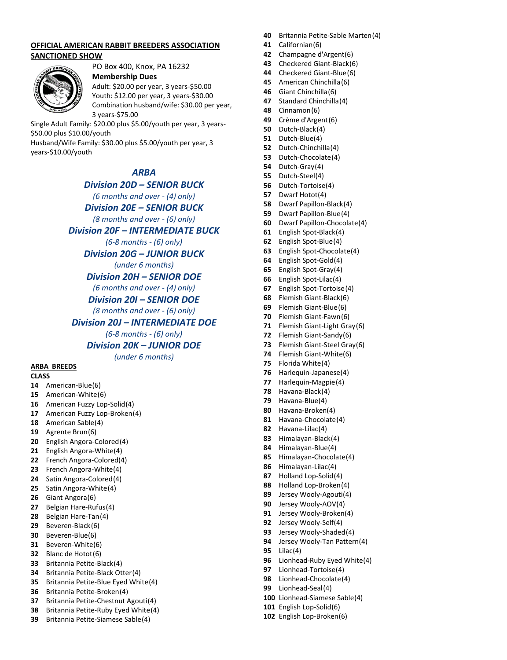#### **OFFICIAL AMERICAN RABBIT BREEDERS ASSOCIATION SANCTIONED SHOW**



# PO Box 400, Knox, PA 16232

**Membership Dues**  Adult: \$20.00 per year, 3 years-\$50.00 Youth: \$12.00 per year, 3 years-\$30.00 Combination husband/wife: \$30.00 per year, 3 years-\$75.00

Single Adult Family: \$20.00 plus \$5.00/youth per year, 3 years- \$50.00 plus \$10.00/youth Husband/Wife Family: \$30.00 plus \$5.00/youth per year, 3

years-\$10.00/youth

## *ARBA*

*Division 20D – SENIOR BUCK* 

*(6 months and over - (4) only)*

*Division 20E – SENIOR BUCK* 

*(8 months and over - (6) only)*

#### *Division 20F – INTERMEDIATE BUCK*

*(6-8 months - (6) only)*

*Division 20G – JUNIOR BUCK*

*(under 6 months)*

*Division 20H – SENIOR DOE* 

*(6 months and over - (4) only)*

*Division 20I – SENIOR DOE* 

*(8 months and over - (6) only)*

#### *Division 20J – INTERMEDIATE DOE*

*(6-8 months - (6) only)*

#### *Division 20K – JUNIOR DOE*

*(under 6 months)*

#### **ARBA BREEDS**

#### **CLASS**

- American-Blue(6)
- American-White(6)
- American Fuzzy Lop-Solid(4)
- American Fuzzy Lop-Broken(4)
- American Sable(4)
- Agrente Brun(6)
- English Angora-Colored(4)
- English Angora-White(4)
- French Angora-Colored(4)
- French Angora-White(4)
- Satin Angora-Colored(4)
- Satin Angora-White(4)
- Giant Angora(6)
- Belgian Hare-Rufus(4)
- Belgian Hare-Tan(4)
- Beveren-Black(6)
- Beveren-Blue(6)
- Beveren-White(6)
- Blanc de Hotot(6)
- Britannia Petite-Black(4)
- Britannia Petite-Black Otter(4)
- Britannia Petite-Blue Eyed White(4)
- Britannia Petite-Broken(4)
- Britannia Petite-Chestnut Agouti(4)
- Britannia Petite-Ruby Eyed White(4)
- Britannia Petite-Siamese Sable(4)
- Britannia Petite-Sable Marten(4)
- Californian(6)
- Champagne d'Argent(6)
- Checkered Giant-Black(6)
- Checkered Giant-Blue(6)
- American Chinchilla(6)
- Giant Chinchilla(6)
- Standard Chinchilla(4)
- Cinnamon(6)
- Crème d'Argent(6)
- Dutch-Black(4)
- Dutch-Blue(4)
- Dutch-Chinchilla(4)
- Dutch-Chocolate(4)
- Dutch-Gray(4)
- Dutch-Steel(4)
- Dutch-Tortoise(4)
- Dwarf Hotot(4)
- Dwarf Papillon-Black(4)
- Dwarf Papillon-Blue(4)
- Dwarf Papillon-Chocolate(4)
- English Spot-Black(4)
- English Spot-Blue(4)
- English Spot-Chocolate(4)
- English Spot-Gold(4)
- English Spot-Gray(4)
- English Spot-Lilac(4)
- English Spot-Tortoise(4)
- Flemish Giant-Black(6)
- Flemish Giant-Blue(6)
- Flemish Giant-Fawn(6)
- Flemish Giant-Light Gray(6)
- Flemish Giant-Sandy(6)
- Flemish Giant-Steel Gray(6)
- Flemish Giant-White(6)
- Florida White(4)
- Harlequin-Japanese(4)
- Harlequin-Magpie(4)
- Havana-Black(4)
- Havana-Blue(4)
- Havana-Broken(4)
- Havana-Chocolate(4)
- Havana-Lilac(4)
- Himalayan-Black(4)
- Himalayan-Blue(4) Himalayan-Chocolate(4)
- Himalayan-Lilac(4)
- Holland Lop-Solid(4)
- Holland Lop-Broken(4)
- Jersey Wooly-Agouti(4) Jersey Wooly-AOV(4)

 Jersey Wooly-Broken(4) Jersey Wooly-Self(4) Jersey Wooly-Shaded(4) Jersey Wooly-Tan Pattern(4)

 Lionhead-Ruby Eyed White(4) Lionhead-Tortoise(4) Lionhead-Chocolate(4) Lionhead-Seal(4)

 Lionhead-Siamese Sable(4) English Lop-Solid(6) English Lop-Broken(6)

Lilac(4)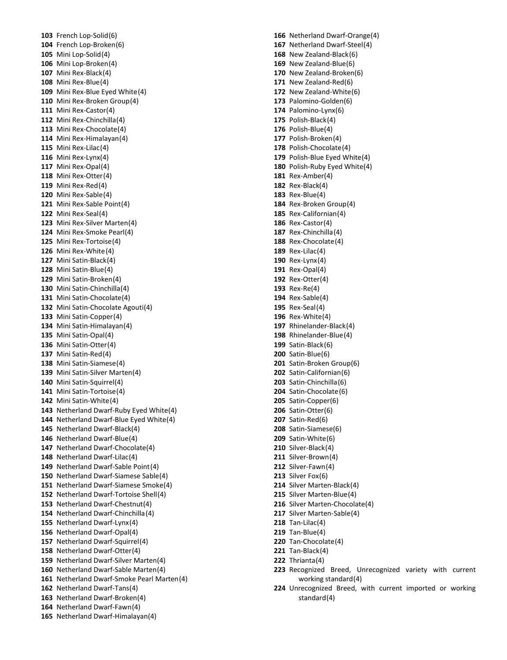French Lop-Solid(6) French Lop-Broken(6) Mini Lop-Solid(4) Mini Lop-Broken(4) Mini Rex-Black(4) Mini Rex-Blue(4) Mini Rex-Blue Eyed White(4) Mini Rex-Broken Group(4) Mini Rex-Castor(4) Mini Rex-Chinchilla(4) Mini Rex-Chocolate(4) Mini Rex-Himalayan(4) Mini Rex-Lilac(4) Mini Rex-Lynx(4) Mini Rex-Opal(4) Mini Rex-Otter(4) Mini Rex-Red(4) Mini Rex-Sable(4) Mini Rex-Sable Point(4) Mini Rex-Seal(4) Mini Rex-Silver Marten(4) Mini Rex-Smoke Pearl(4) Mini Rex-Tortoise(4) Mini Rex-White(4) Mini Satin-Black(4) Mini Satin-Blue(4) Mini Satin-Broken(4) Mini Satin-Chinchilla(4) Mini Satin-Chocolate(4) Mini Satin-Chocolate Agouti(4) Mini Satin-Copper(4) Mini Satin-Himalayan(4) Mini Satin-Opal(4) Mini Satin-Otter(4) Mini Satin-Red(4) Mini Satin-Siamese(4) Mini Satin-Silver Marten(4) Mini Satin-Squirrel(4) Mini Satin-Tortoise(4) Mini Satin-White(4) Netherland Dwarf-Ruby Eyed White(4) Netherland Dwarf-Blue Eyed White(4) Netherland Dwarf-Black(4) Netherland Dwarf-Blue(4) Netherland Dwarf-Chocolate(4) Netherland Dwarf-Lilac(4) Netherland Dwarf-Sable Point(4) Netherland Dwarf-Siamese Sable(4) Netherland Dwarf-Siamese Smoke(4) Netherland Dwarf-Tortoise Shell(4) Netherland Dwarf-Chestnut(4) Netherland Dwarf-Chinchilla(4) Netherland Dwarf-Lynx(4) Netherland Dwarf-Opal(4) Netherland Dwarf-Squirrel(4) Netherland Dwarf-Otter(4) Netherland Dwarf-Silver Marten(4) Netherland Dwarf-Sable Marten(4) Netherland Dwarf-Smoke Pearl Marten(4) Netherland Dwarf-Tans(4) Netherland Dwarf-Broken(4) Netherland Dwarf-Fawn(4) Netherland Dwarf-Himalayan(4)

 Netherland Dwarf-Orange(4) Netherland Dwarf-Steel(4) New Zealand-Black(6) New Zealand-Blue(6) New Zealand-Broken(6) New Zealand-Red(6) New Zealand-White(6) Palomino-Golden(6) Palomino-Lynx(6) Polish-Black(4) Polish-Blue(4) Polish-Broken(4) Polish-Chocolate(4) Polish-Blue Eyed White(4) Polish-Ruby Eyed White(4) Rex-Amber(4) Rex-Black(4) Rex-Blue(4) Rex-Broken Group(4) Rex-Californian(4) Rex-Castor(4) Rex-Chinchilla(4) Rex-Chocolate(4) Rex-Lilac(4) Rex-Lynx(4) Rex-Opal(4) Rex-Otter(4) Rex-Re(4) Rex-Sable(4) Rex-Seal(4) Rex-White(4) Rhinelander-Black(4) Rhinelander-Blue(4) Satin-Black(6) Satin-Blue(6) Satin-Broken Group(6) Satin-Californian(6) Satin-Chinchilla(6) Satin-Chocolate(6) Satin-Copper(6) Satin-Otter(6) Satin-Red(6) Satin-Siamese(6) Satin-White(6) Silver-Black(4) Silver-Brown(4) Silver-Fawn(4) Silver Fox(6) Silver Marten-Black(4) Silver Marten-Blue(4) Silver Marten-Chocolate(4) Silver Marten-Sable(4) Tan-Lilac(4) Tan-Blue(4) Tan-Chocolate(4) Tan-Black(4) Thrianta(4) Recognized Breed, Unrecognized variety with current working standard(4) Unrecognized Breed, with current imported or working standard(4)